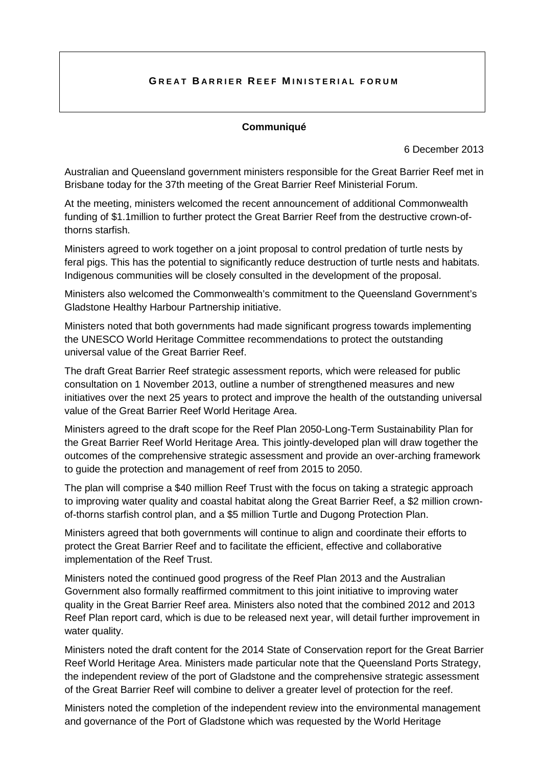## **G REAT B ARRIER R EEF M INISTERIAL FORUM**

## **Communiqué**

6 December 2013

Australian and Queensland government ministers responsible for the Great Barrier Reef met in Brisbane today for the 37th meeting of the Great Barrier Reef Ministerial Forum.

At the meeting, ministers welcomed the recent announcement of additional Commonwealth funding of \$1.1million to further protect the Great Barrier Reef from the destructive crown-ofthorns starfish.

Ministers agreed to work together on a joint proposal to control predation of turtle nests by feral pigs. This has the potential to significantly reduce destruction of turtle nests and habitats. Indigenous communities will be closely consulted in the development of the proposal.

Ministers also welcomed the Commonwealth's commitment to the Queensland Government's Gladstone Healthy Harbour Partnership initiative.

Ministers noted that both governments had made significant progress towards implementing the UNESCO World Heritage Committee recommendations to protect the outstanding universal value of the Great Barrier Reef.

The draft Great Barrier Reef strategic assessment reports, which were released for public consultation on 1 November 2013, outline a number of strengthened measures and new initiatives over the next 25 years to protect and improve the health of the outstanding universal value of the Great Barrier Reef World Heritage Area.

Ministers agreed to the draft scope for the Reef Plan 2050-Long-Term Sustainability Plan for the Great Barrier Reef World Heritage Area. This jointly-developed plan will draw together the outcomes of the comprehensive strategic assessment and provide an over-arching framework to guide the protection and management of reef from 2015 to 2050.

The plan will comprise a \$40 million Reef Trust with the focus on taking a strategic approach to improving water quality and coastal habitat along the Great Barrier Reef, a \$2 million crownof-thorns starfish control plan, and a \$5 million Turtle and Dugong Protection Plan.

Ministers agreed that both governments will continue to align and coordinate their efforts to protect the Great Barrier Reef and to facilitate the efficient, effective and collaborative implementation of the Reef Trust.

Ministers noted the continued good progress of the Reef Plan 2013 and the Australian Government also formally reaffirmed commitment to this joint initiative to improving water quality in the Great Barrier Reef area. Ministers also noted that the combined 2012 and 2013 Reef Plan report card, which is due to be released next year, will detail further improvement in water quality.

Ministers noted the draft content for the 2014 State of Conservation report for the Great Barrier Reef World Heritage Area. Ministers made particular note that the Queensland Ports Strategy, the independent review of the port of Gladstone and the comprehensive strategic assessment of the Great Barrier Reef will combine to deliver a greater level of protection for the reef.

Ministers noted the completion of the independent review into the environmental management and governance of the Port of Gladstone which was requested by the World Heritage